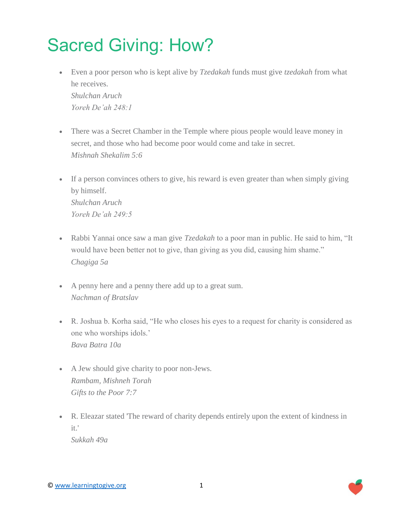## Sacred Giving: How?

- Even a poor person who is kept alive by *Tzedakah* funds must give *tzedakah* from what he receives. *Shulchan Aruch Yoreh De'ah 248:1*
- There was a Secret Chamber in the Temple where pious people would leave money in secret, and those who had become poor would come and take in secret. *Mishnah Shekalim 5:6*
- If a person convinces others to give, his reward is even greater than when simply giving by himself. *Shulchan Aruch Yoreh De'ah 249:5*
- Rabbi Yannai once saw a man give *Tzedakah* to a poor man in public. He said to him, "It would have been better not to give, than giving as you did, causing him shame." *Chagiga 5a*
- A penny here and a penny there add up to a great sum. *Nachman of Bratslav*
- R. Joshua b. Korha said, "He who closes his eyes to a request for charity is considered as one who worships idols.' *Bava Batra 10a*
- A Jew should give charity to poor non-Jews. *Rambam, Mishneh Torah Gifts to the Poor 7:7*
- R. Eleazar stated 'The reward of charity depends entirely upon the extent of kindness in it.' *Sukkah 49a*